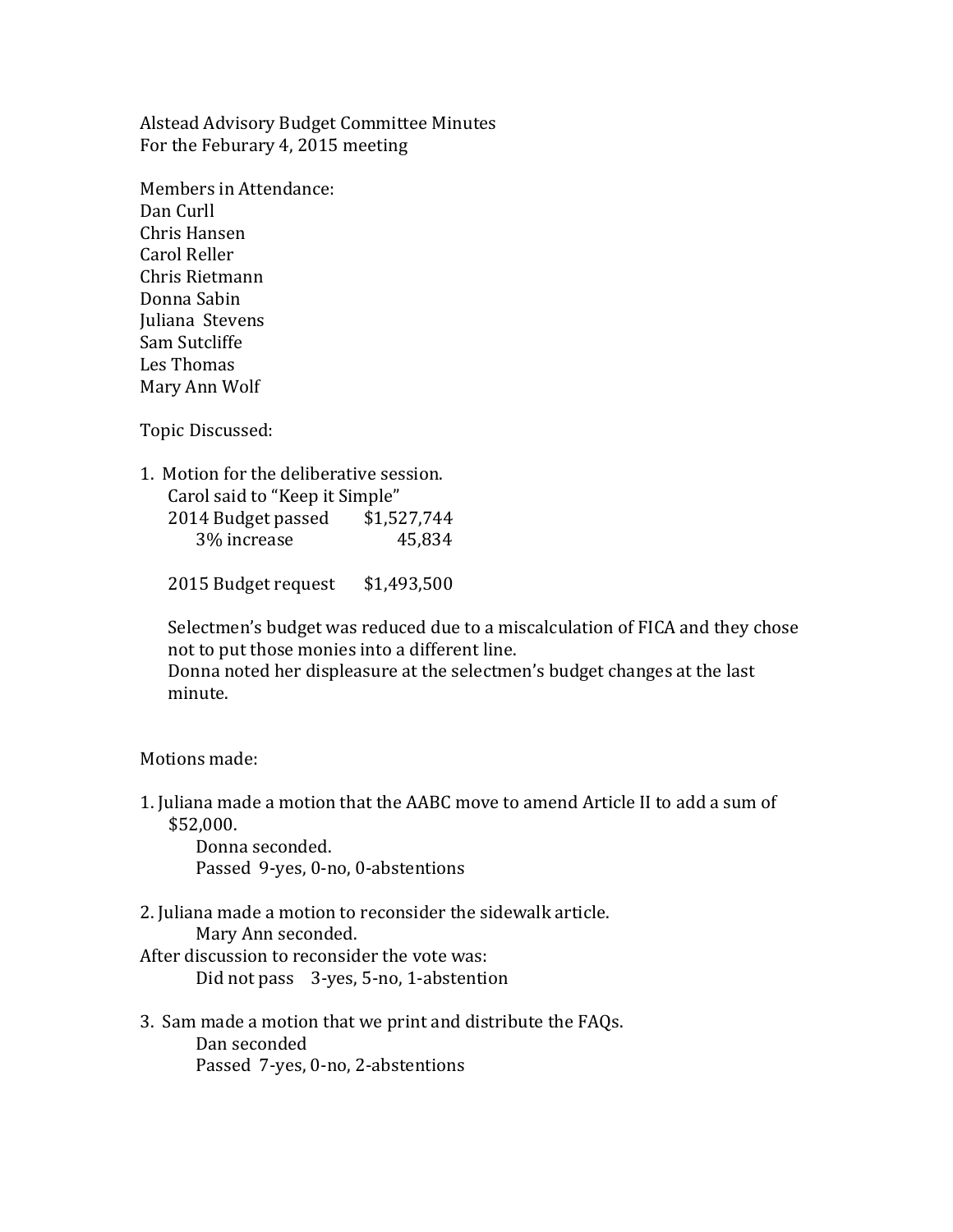Alstead Advisory Budget Committee Minutes For the Feburary 4, 2015 meeting

Members in Attendance: Dan Curll Chris Hansen Carol Reller Chris Rietmann Donna Sabin Juliana Stevens Sam Sutcliffe Les Thomas Mary Ann Wolf

Topic Discussed:

| 1. Motion for the deliberative session. |             |
|-----------------------------------------|-------------|
| Carol said to "Keep it Simple"          |             |
| 2014 Budget passed                      | \$1,527,744 |
| 3% increase                             | 45,834      |

2015 Budget request \$1,493,500

Selectmen's budget was reduced due to a miscalculation of FICA and they chose not to put those monies into a different line.

Donna noted her displeasure at the selectmen's budget changes at the last minute.

Motions made:

1. Juliana made a motion that the AABC move to amend Article II to add a sum of \$52,000.

 Donna seconded. Passed 9-yes, 0-no, 0-abstentions

2. Juliana made a motion to reconsider the sidewalk article. Mary Ann seconded. After discussion to reconsider the vote was:

Did not pass 3-yes, 5-no, 1-abstention

3. Sam made a motion that we print and distribute the FAQs. Dan seconded Passed 7-yes, 0-no, 2-abstentions